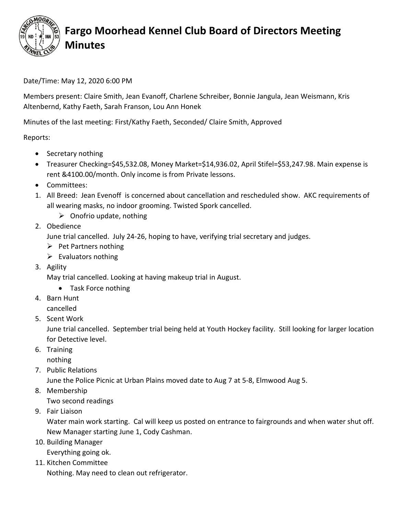

## **Fargo Moorhead Kennel Club Board of Directors Meeting Minutes**

## Date/Time: May 12, 2020 6:00 PM

Members present: Claire Smith, Jean Evanoff, Charlene Schreiber, Bonnie Jangula, Jean Weismann, Kris Altenbernd, Kathy Faeth, Sarah Franson, Lou Ann Honek

Minutes of the last meeting: First/Kathy Faeth, Seconded/ Claire Smith, Approved

Reports:

- Secretary nothing
- Treasurer Checking=\$45,532.08, Money Market=\$14,936.02, April Stifel=\$53,247.98. Main expense is rent &4100.00/month. Only income is from Private lessons.
- Committees:
- 1. All Breed: Jean Evenoff is concerned about cancellation and rescheduled show. AKC requirements of all wearing masks, no indoor grooming. Twisted Spork cancelled.
	- $\triangleright$  Onofrio update, nothing
- 2. Obedience

June trial cancelled. July 24-26, hoping to have, verifying trial secretary and judges.

- $\triangleright$  Pet Partners nothing
- $\triangleright$  Evaluators nothing
- 3. Agility

May trial cancelled. Looking at having makeup trial in August.

- Task Force nothing
- 4. Barn Hunt cancelled
- 5. Scent Work

June trial cancelled. September trial being held at Youth Hockey facility. Still looking for larger location for Detective level.

6. Training

nothing

7. Public Relations

June the Police Picnic at Urban Plains moved date to Aug 7 at 5-8, Elmwood Aug 5.

8. Membership

Two second readings

9. Fair Liaison

Water main work starting. Cal will keep us posted on entrance to fairgrounds and when water shut off. New Manager starting June 1, Cody Cashman.

- 10. Building Manager Everything going ok.
- 11. Kitchen Committee

Nothing. May need to clean out refrigerator.